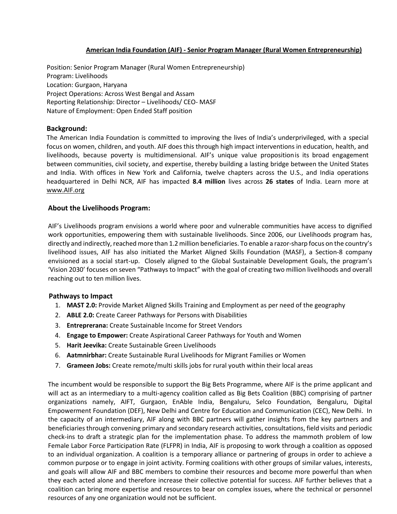## **American India Foundation (AIF) - Senior Program Manager (Rural Women Entrepreneurship)**

Position: Senior Program Manager (Rural Women Entrepreneurship) Program: Livelihoods Location: Gurgaon, Haryana Project Operations: Across West Bengal and Assam Reporting Relationship: Director – Livelihoods/ CEO- MASF Nature of Employment: Open Ended Staff position

### **Background:**

The American India Foundation is committed to improving the lives of India's underprivileged, with a special focus on women, children, and youth. AIF does this through high impact interventions in education, health, and livelihoods, because poverty is multidimensional. AIF's unique value propositionis its broad engagement between communities, civil society, and expertise, thereby building a lasting bridge between the United States and India. With offices in New York and California, twelve chapters across the U.S., and India operations headquartered in Delhi NCR, AIF has impacted **8.4 million** lives across **26 states** of India. Learn more at [www.AIF.org](http://www.aif.org/)

### **About the Livelihoods Program:**

AIF's Livelihoods program envisions a world where poor and vulnerable communities have access to dignified work opportunities, empowering them with sustainable livelihoods. Since 2006, our Livelihoods program has, directly and indirectly, reached more than 1.2 million beneficiaries. To enable a razor-sharp focus on the country's livelihood issues, AIF has also initiated the Market Aligned Skills Foundation (MASF), a Section-8 company envisioned as a social start-up. Closely aligned to the Global Sustainable Development Goals, the program's 'Vision 2030' focuses on seven "Pathways to Impact" with the goal of creating two million livelihoods and overall reaching out to ten million lives.

#### **Pathways to Impact**

- 1. **MAST 2.0:** Provide Market Aligned Skills Training and Employment as per need of the geography
- 2. **ABLE 2.0:** Create Career Pathways for Persons with Disabilities
- 3. **Entreprerana:** Create Sustainable Income for Street Vendors
- 4. **Engage to Empower:** Create Aspirational Career Pathways for Youth and Women
- 5. **Harit Jeevika:** Create Sustainable Green Livelihoods
- 6. **Aatmnirbhar:** Create Sustainable Rural Livelihoods for Migrant Families or Women
- 7. **Grameen Jobs:** Create remote/multi skills jobs for rural youth within their local areas

The incumbent would be responsible to support the Big Bets Programme, where AIF is the prime applicant and will act as an intermediary to a multi-agency coalition called as Big Bets Coalition (BBC) comprising of partner organizations namely, AIFT, Gurgaon, EnAble India, Bengaluru, Selco Foundation, Bengaluru, Digital Empowerment Foundation (DEF), New Delhi and Centre for Education and Communication (CEC), New Delhi. In the capacity of an intermediary, AIF along with BBC partners will gather insights from the key partners and beneficiaries through convening primary and secondary research activities, consultations, field visits and periodic check-ins to draft a strategic plan for the implementation phase. To address the mammoth problem of low Female Labor Force Participation Rate (FLFPR) in India, AIF is proposing to work through a coalition as opposed to an individual organization. A coalition is a temporary alliance or partnering of groups in order to achieve a common purpose or to engage in joint activity. Forming coalitions with other groups of similar values, interests, and goals will allow AIF and BBC members to combine their resources and become more powerful than when they each acted alone and therefore increase their collective potential for success. AIF further believes that a coalition can bring more expertise and resources to bear on complex issues, where the technical or personnel resources of any one organization would not be sufficient.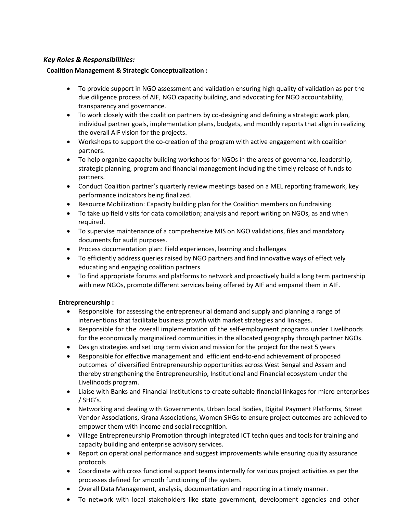## *Key Roles & Responsibilities:*

## **Coalition Management & Strategic Conceptualization :**

- To provide support in NGO assessment and validation ensuring high quality of validation as per the due diligence process of AIF, NGO capacity building, and advocating for NGO accountability, transparency and governance.
- To work closely with the coalition partners by co-designing and defining a strategic work plan, individual partner goals, implementation plans, budgets, and monthly reports that align in realizing the overall AIF vision for the projects.
- Workshops to support the co-creation of the program with active engagement with coalition partners.
- To help organize capacity building workshops for NGOs in the areas of governance, leadership, strategic planning, program and financial management including the timely release of funds to partners.
- Conduct Coalition partner's quarterly review meetings based on a MEL reporting framework, key performance indicators being finalized.
- Resource Mobilization: Capacity building plan for the Coalition members on fundraising.
- To take up field visits for data compilation; analysis and report writing on NGOs, as and when required.
- To supervise maintenance of a comprehensive MIS on NGO validations, files and mandatory documents for audit purposes.
- Process documentation plan: Field experiences, learning and challenges
- To efficiently address queries raised by NGO partners and find innovative ways of effectively educating and engaging coalition partners
- To find appropriate forums and platforms to network and proactively build a long term partnership with new NGOs, promote different services being offered by AIF and empanel them in AIF.

# **Entrepreneurship :**

- Responsible for assessing the entrepreneurial demand and supply and planning a range of interventions that facilitate business growth with market strategies and linkages.
- Responsible for the overall implementation of the self-employment programs under Livelihoods for the economically marginalized communities in the allocated geography through partner NGOs.
- Design strategies and set long term vision and mission for the project for the next 5 years
- Responsible for effective management and efficient end-to-end achievement of proposed outcomes of diversified Entrepreneurship opportunities across West Bengal and Assam and thereby strengthening the Entrepreneurship, Institutional and Financial ecosystem under the Livelihoods program.
- Liaise with Banks and Financial Institutions to create suitable financial linkages for micro enterprises / SHG's.
- Networking and dealing with Governments, Urban local Bodies, Digital Payment Platforms, Street Vendor Associations, Kirana Associations, Women SHGs to ensure project outcomes are achieved to empower them with income and social recognition.
- Village Entrepreneurship Promotion through integrated ICT techniques and tools for training and capacity building and enterprise advisory services.
- Report on operational performance and suggest improvements while ensuring quality assurance protocols
- Coordinate with cross functional support teams internally for various project activities as per the processes defined for smooth functioning of the system.
- Overall Data Management, analysis, documentation and reporting in a timely manner.
- To network with local stakeholders like state government, development agencies and other